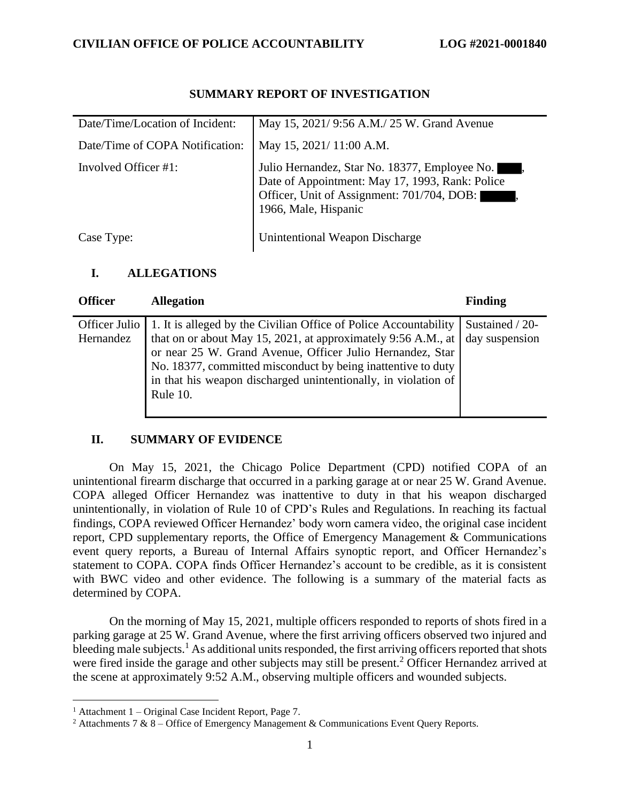| Date/Time/Location of Incident: | May 15, 2021/9:56 A.M./25 W. Grand Avenue                                                                                                                              |
|---------------------------------|------------------------------------------------------------------------------------------------------------------------------------------------------------------------|
| Date/Time of COPA Notification: | May 15, 2021/11:00 A.M.                                                                                                                                                |
| Involved Officer #1:            | Julio Hernandez, Star No. 18377, Employee No.<br>Date of Appointment: May 17, 1993, Rank: Police<br>Officer, Unit of Assignment: 701/704, DOB:<br>1966, Male, Hispanic |
| Case Type:                      | Unintentional Weapon Discharge                                                                                                                                         |

## **SUMMARY REPORT OF INVESTIGATION**

## **I. ALLEGATIONS**

| <b>Officer</b>               | <b>Allegation</b>                                                                                                                                                                                                                                                                                                                            | <b>Finding</b>                    |
|------------------------------|----------------------------------------------------------------------------------------------------------------------------------------------------------------------------------------------------------------------------------------------------------------------------------------------------------------------------------------------|-----------------------------------|
| Officer Julio  <br>Hernandez | 1. It is alleged by the Civilian Office of Police Accountability<br>that on or about May 15, 2021, at approximately 9:56 A.M., at<br>or near 25 W. Grand Avenue, Officer Julio Hernandez, Star<br>No. 18377, committed misconduct by being inattentive to duty<br>in that his weapon discharged unintentionally, in violation of<br>Rule 10. | Sustained / 20-<br>day suspension |

## **II. SUMMARY OF EVIDENCE**

On May 15, 2021, the Chicago Police Department (CPD) notified COPA of an unintentional firearm discharge that occurred in a parking garage at or near 25 W. Grand Avenue. COPA alleged Officer Hernandez was inattentive to duty in that his weapon discharged unintentionally, in violation of Rule 10 of CPD's Rules and Regulations. In reaching its factual findings, COPA reviewed Officer Hernandez' body worn camera video, the original case incident report, CPD supplementary reports, the Office of Emergency Management & Communications event query reports, a Bureau of Internal Affairs synoptic report, and Officer Hernandez's statement to COPA. COPA finds Officer Hernandez's account to be credible, as it is consistent with BWC video and other evidence. The following is a summary of the material facts as determined by COPA.

On the morning of May 15, 2021, multiple officers responded to reports of shots fired in a parking garage at 25 W. Grand Avenue, where the first arriving officers observed two injured and bleeding male subjects.<sup>1</sup> As additional units responded, the first arriving officers reported that shots were fired inside the garage and other subjects may still be present.<sup>2</sup> Officer Hernandez arrived at the scene at approximately 9:52 A.M., observing multiple officers and wounded subjects.

<sup>&</sup>lt;sup>1</sup> Attachment 1 – Original Case Incident Report, Page 7.

<sup>&</sup>lt;sup>2</sup> Attachments 7 & 8 – Office of Emergency Management & Communications Event Query Reports.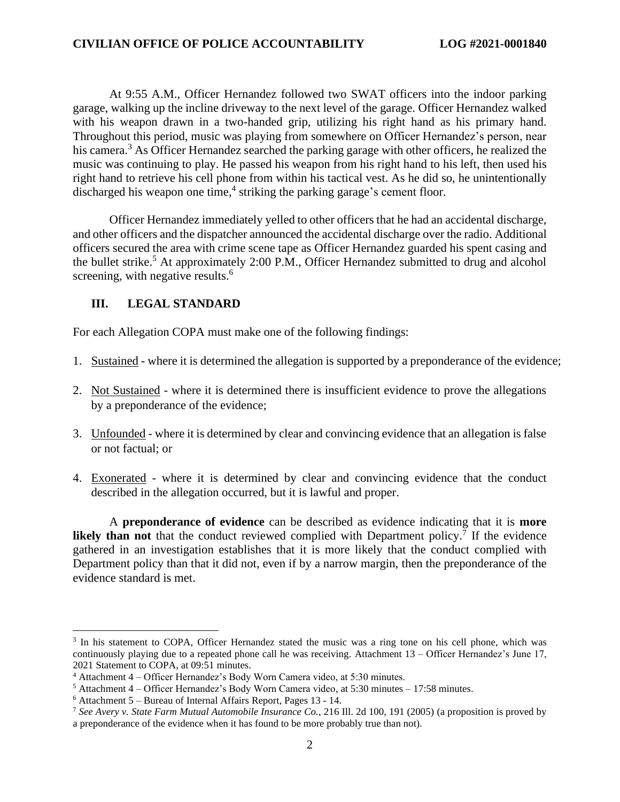At 9:55 A.M., Officer Hernandez followed two SWAT officers into the indoor parking garage, walking up the incline driveway to the next level of the garage. Officer Hernandez walked with his weapon drawn in a two-handed grip, utilizing his right hand as his primary hand. Throughout this period, music was playing from somewhere on Officer Hernandez's person, near his camera.<sup>3</sup> As Officer Hernandez searched the parking garage with other officers, he realized the music was continuing to play. He passed his weapon from his right hand to his left, then used his right hand to retrieve his cell phone from within his tactical vest. As he did so, he unintentionally discharged his weapon one time, 4 striking the parking garage's cement floor.

Officer Hernandez immediately yelled to other officers that he had an accidental discharge, and other officers and the dispatcher announced the accidental discharge over the radio. Additional officers secured the area with crime scene tape as Officer Hernandez guarded his spent casing and the bullet strike.<sup>5</sup> At approximately 2:00 P.M., Officer Hernandez submitted to drug and alcohol screening, with negative results.<sup>6</sup>

#### **III. LEGAL STANDARD**

For each Allegation COPA must make one of the following findings:

- 1. Sustained where it is determined the allegation is supported by a preponderance of the evidence;
- 2. Not Sustained where it is determined there is insufficient evidence to prove the allegations by a preponderance of the evidence;
- 3. Unfounded where it is determined by clear and convincing evidence that an allegation is false or not factual; or
- 4. Exonerated where it is determined by clear and convincing evidence that the conduct described in the allegation occurred, but it is lawful and proper.

A **preponderance of evidence** can be described as evidence indicating that it is **more likely than not** that the conduct reviewed complied with Department policy.<sup>7</sup> If the evidence gathered in an investigation establishes that it is more likely that the conduct complied with Department policy than that it did not, even if by a narrow margin, then the preponderance of the evidence standard is met.

<sup>&</sup>lt;sup>3</sup> In his statement to COPA, Officer Hernandez stated the music was a ring tone on his cell phone, which was continuously playing due to a repeated phone call he was receiving. Attachment 13 – Officer Hernandez's June 17, 2021 Statement to COPA, at 09:51 minutes.

<sup>4</sup> Attachment 4 – Officer Hernandez's Body Worn Camera video, at 5:30 minutes.

 $5$  Attachment 4 – Officer Hernandez's Body Worn Camera video, at 5:30 minutes – 17:58 minutes.

 $6$  Attachment 5 – Bureau of Internal Affairs Report, Pages 13 - 14.

<sup>7</sup> *See Avery v. State Farm Mutual Automobile Insurance Co.*, 216 Ill. 2d 100, 191 (2005) (a proposition is proved by a preponderance of the evidence when it has found to be more probably true than not).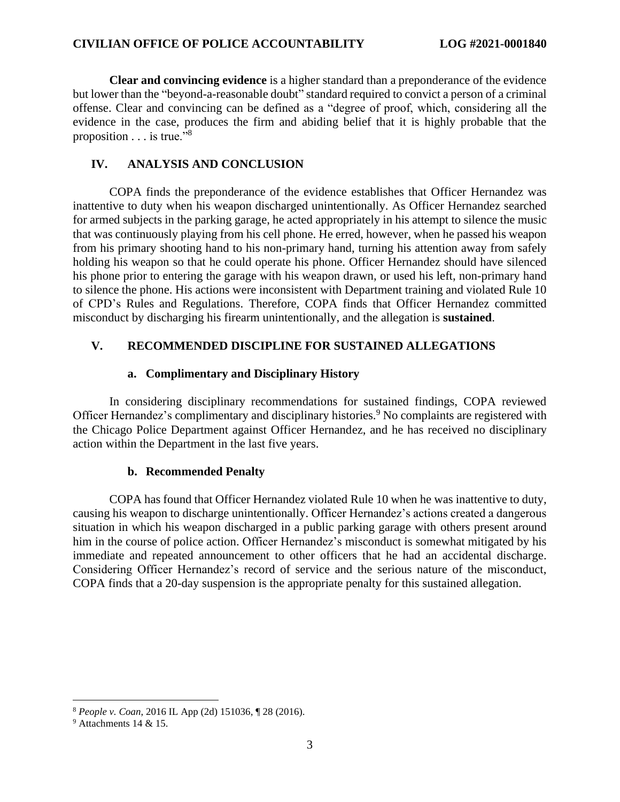**Clear and convincing evidence** is a higher standard than a preponderance of the evidence but lower than the "beyond-a-reasonable doubt" standard required to convict a person of a criminal offense. Clear and convincing can be defined as a "degree of proof, which, considering all the evidence in the case, produces the firm and abiding belief that it is highly probable that the proposition . . . is true."<sup>8</sup>

#### **IV. ANALYSIS AND CONCLUSION**

COPA finds the preponderance of the evidence establishes that Officer Hernandez was inattentive to duty when his weapon discharged unintentionally. As Officer Hernandez searched for armed subjects in the parking garage, he acted appropriately in his attempt to silence the music that was continuously playing from his cell phone. He erred, however, when he passed his weapon from his primary shooting hand to his non-primary hand, turning his attention away from safely holding his weapon so that he could operate his phone. Officer Hernandez should have silenced his phone prior to entering the garage with his weapon drawn, or used his left, non-primary hand to silence the phone. His actions were inconsistent with Department training and violated Rule 10 of CPD's Rules and Regulations. Therefore, COPA finds that Officer Hernandez committed misconduct by discharging his firearm unintentionally, and the allegation is **sustained**.

## **V. RECOMMENDED DISCIPLINE FOR SUSTAINED ALLEGATIONS**

#### **a. Complimentary and Disciplinary History**

In considering disciplinary recommendations for sustained findings, COPA reviewed Officer Hernandez's complimentary and disciplinary histories.<sup>9</sup> No complaints are registered with the Chicago Police Department against Officer Hernandez, and he has received no disciplinary action within the Department in the last five years.

#### **b. Recommended Penalty**

COPA has found that Officer Hernandez violated Rule 10 when he was inattentive to duty, causing his weapon to discharge unintentionally. Officer Hernandez's actions created a dangerous situation in which his weapon discharged in a public parking garage with others present around him in the course of police action. Officer Hernandez's misconduct is somewhat mitigated by his immediate and repeated announcement to other officers that he had an accidental discharge. Considering Officer Hernandez's record of service and the serious nature of the misconduct, COPA finds that a 20-day suspension is the appropriate penalty for this sustained allegation.

<sup>8</sup> *People v. Coan*, 2016 IL App (2d) 151036, ¶ 28 (2016).

<sup>9</sup> Attachments 14 & 15.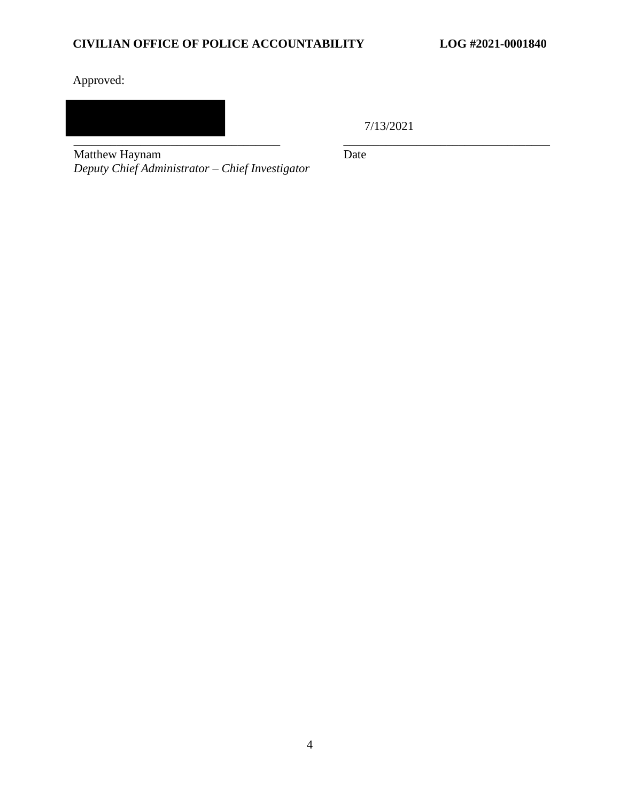## **CIVILIAN OFFICE OF POLICE ACCOUNTABILITY LOG #2021-0001840**

Approved:

\_\_\_\_\_\_\_\_\_\_\_\_\_\_\_\_\_\_\_\_\_\_\_\_\_\_\_\_\_\_\_\_\_\_ \_\_\_\_\_\_\_\_\_\_\_\_\_\_\_\_\_\_\_\_\_\_\_\_\_\_\_\_\_\_\_\_\_\_

7/13/2021

Matthew Haynam *Deputy Chief Administrator – Chief Investigator* Date